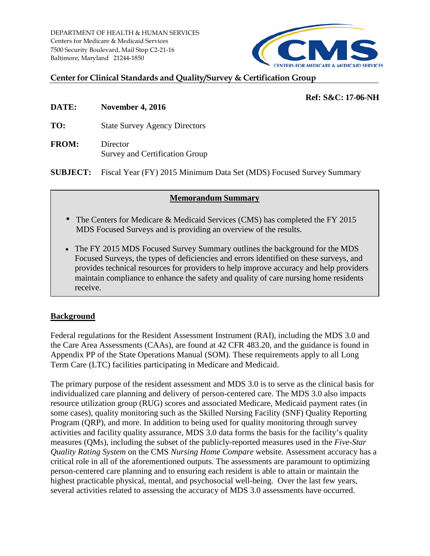DEPARTMENT OF HEALTH & HUMAN SERVICES Centers for Medicare & Medicaid Services 7500 Security Boulevard, Mail Stop C2-21-16 Baltimore, Maryland 21244-1850



#### **Center for Clinical Standards and Quality/Survey & Certification Group**

#### **Ref: S&C: 17-06-NH**

- **DATE: November 4, 2016**
- **TO:** State Survey Agency Directors
- **FROM:** Director Survey and Certification Group

**SUBJECT:** Fiscal Year (FY) 2015 Minimum Data Set (MDS) Focused Survey Summary

#### **Memorandum Summary**

- The Centers for Medicare & Medicaid Services (CMS) has completed the FY 2015 MDS Focused Surveys and is providing an overview of the results.
- The FY 2015 MDS Focused Survey Summary outlines the background for the MDS Focused Surveys, the types of deficiencies and errors identified on these surveys, and provides technical resources for providers to help improve accuracy and help providers maintain compliance to enhance the safety and quality of care nursing home residents receive.

# **Background**

Federal regulations for the Resident Assessment Instrument (RAI), including the MDS 3.0 and the Care Area Assessments (CAAs), are found at 42 CFR 483.20, and the guidance is found in Appendix PP of the State Operations Manual (SOM). These requirements apply to all Long Term Care (LTC) facilities participating in Medicare and Medicaid.

The primary purpose of the resident assessment and MDS 3.0 is to serve as the clinical basis for individualized care planning and delivery of person-centered care. The MDS 3.0 also impacts resource utilization group (RUG) scores and associated Medicare, Medicaid payment rates (in some cases), quality monitoring such as the Skilled Nursing Facility (SNF) Quality Reporting Program (QRP), and more. In addition to being used for quality monitoring through survey activities and facility quality assurance, MDS 3.0 data forms the basis for the facility's quality measures (QMs), including the subset of the publicly-reported measures used in the *Five-Star Quality Rating System* on the CMS *Nursing Home Compare* website. Assessment accuracy has a critical role in all of the aforementioned outputs. The assessments are paramount to optimizing person-centered care planning and to ensuring each resident is able to attain or maintain the highest practicable physical, mental, and psychosocial well-being. Over the last few years, several activities related to assessing the accuracy of MDS 3.0 assessments have occurred.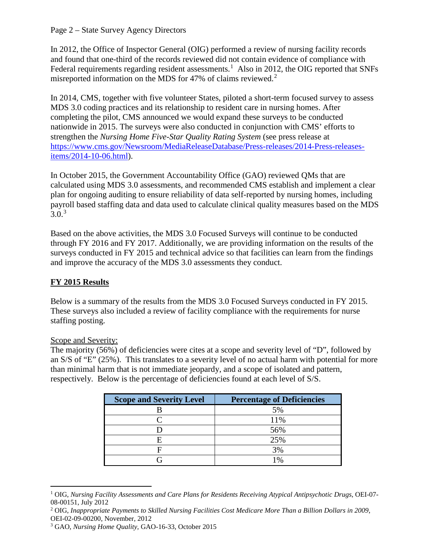#### Page 2 – State Survey Agency Directors

In 2012, the Office of Inspector General (OIG) performed a review of nursing facility records and found that one-third of the records reviewed did not contain evidence of compliance with Federal requirements regarding resident assessments.<sup>[1](#page-1-0)</sup> Also in 2012, the OIG reported that SNFs misreported information on the MDS for 47% of claims reviewed. $2$ 

In 2014, CMS, together with five volunteer States, piloted a short-term focused survey to assess MDS 3.0 coding practices and its relationship to resident care in nursing homes. After completing the pilot, CMS announced we would expand these surveys to be conducted nationwide in 2015. The surveys were also conducted in conjunction with CMS' efforts to strengthen the *Nursing Home Five-Star Quality Rating System* (see press release at [https://www.cms.gov/Newsroom/MediaReleaseDatabase/Press-releases/2014-Press-releases](https://www.cms.gov/Newsroom/MediaReleaseDatabase/Press-releases/2014-Press-releases-items/2014-10-06.html)[items/2014-10-06.html\)](https://www.cms.gov/Newsroom/MediaReleaseDatabase/Press-releases/2014-Press-releases-items/2014-10-06.html).

In October 2015, the Government Accountability Office (GAO) reviewed QMs that are calculated using MDS 3.0 assessments, and recommended CMS establish and implement a clear plan for ongoing auditing to ensure reliability of data self-reported by nursing homes, including payroll based staffing data and data used to calculate clinical quality measures based on the MDS  $3.0^{3}$  $3.0^{3}$ 

Based on the above activities, the MDS 3.0 Focused Surveys will continue to be conducted through FY 2016 and FY 2017. Additionally, we are providing information on the results of the surveys conducted in FY 2015 and technical advice so that facilities can learn from the findings and improve the accuracy of the MDS 3.0 assessments they conduct.

# **FY 2015 Results**

Below is a summary of the results from the MDS 3.0 Focused Surveys conducted in FY 2015. These surveys also included a review of facility compliance with the requirements for nurse staffing posting.

# Scope and Severity:

The majority (56%) of deficiencies were cites at a scope and severity level of "D", followed by an S/S of "E" (25%). This translates to a severity level of no actual harm with potential for more than minimal harm that is not immediate jeopardy, and a scope of isolated and pattern, respectively. Below is the percentage of deficiencies found at each level of S/S.

| <b>Scope and Severity Level</b> | <b>Percentage of Deficiencies</b> |
|---------------------------------|-----------------------------------|
|                                 | 5%                                |
|                                 | 11%                               |
|                                 | 56%                               |
|                                 | 25%                               |
|                                 | 3%                                |
|                                 | 10⁄                               |

<span id="page-1-0"></span> $\overline{a}$ <sup>1</sup> OIG, *Nursing Facility Assessments and Care Plans for Residents Receiving Atypical Antipsychotic Drugs*, OEI-07- 08-00151, July 2012<br><sup>2</sup> OIG, *Inappropriate Payments to Skilled Nursing Facilities Cost Medicare More Than a Billion Dollars in 2009*,

<span id="page-1-1"></span>OEI-02-09-00200, November, 2012

<span id="page-1-2"></span><sup>3</sup> GAO, *Nursing Home Quality,* GAO-16-33, October 2015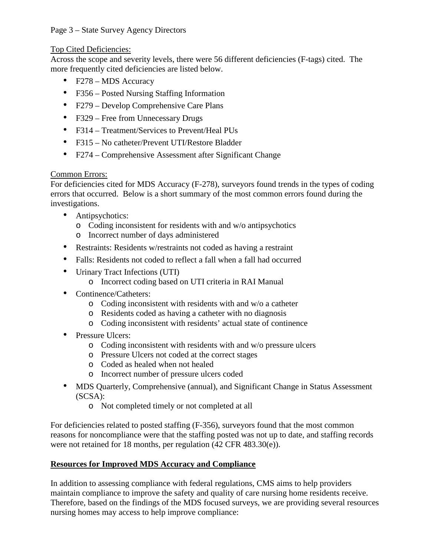### Page 3 – State Survey Agency Directors

#### Top Cited Deficiencies:

Across the scope and severity levels, there were 56 different deficiencies (F-tags) cited. The more frequently cited deficiencies are listed below.

- F278 MDS Accuracy
- F356 Posted Nursing Staffing Information
- F279 Develop Comprehensive Care Plans
- F329 Free from Unnecessary Drugs
- F314 Treatment/Services to Prevent/Heal PUs
- F315 No catheter/Prevent UTI/Restore Bladder
- F274 Comprehensive Assessment after Significant Change

#### Common Errors:

For deficiencies cited for MDS Accuracy (F-278), surveyors found trends in the types of coding errors that occurred. Below is a short summary of the most common errors found during the investigations.

- Antipsychotics:
	- o Coding inconsistent for residents with and w/o antipsychotics
	- o Incorrect number of days administered
- Restraints: Residents w/restraints not coded as having a restraint
- Falls: Residents not coded to reflect a fall when a fall had occurred
- Urinary Tract Infections (UTI)
	- o Incorrect coding based on UTI criteria in RAI Manual
- Continence/Catheters:
	- o Coding inconsistent with residents with and w/o a catheter
	- o Residents coded as having a catheter with no diagnosis
	- o Coding inconsistent with residents' actual state of continence
- Pressure Ulcers:
	- o Coding inconsistent with residents with and w/o pressure ulcers
	- o Pressure Ulcers not coded at the correct stages
	- o Coded as healed when not healed
	- o Incorrect number of pressure ulcers coded
- MDS Quarterly, Comprehensive (annual), and Significant Change in Status Assessment (SCSA):
	- o Not completed timely or not completed at all

For deficiencies related to posted staffing (F-356), surveyors found that the most common reasons for noncompliance were that the staffing posted was not up to date, and staffing records were not retained for 18 months, per regulation (42 CFR 483.30(e)).

# **Resources for Improved MDS Accuracy and Compliance**

In addition to assessing compliance with federal regulations, CMS aims to help providers maintain compliance to improve the safety and quality of care nursing home residents receive. Therefore, based on the findings of the MDS focused surveys, we are providing several resources nursing homes may access to help improve compliance: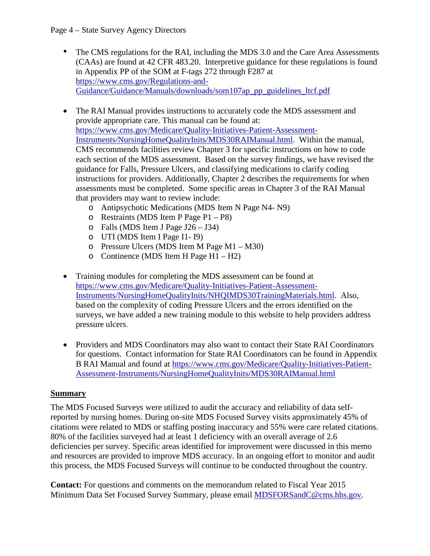- The CMS regulations for the RAI, including the MDS 3.0 and the Care Area Assessments (CAAs) are found at 42 CFR 483.20. Interpretive guidance for these regulations is found in Appendix PP of the SOM at F-tags 272 through F287 at [https://www.cms.gov/Regulations-and-](https://www.cms.gov/Regulations-and-Guidance/Guidance/Manuals/downloads/som107ap_pp_guidelines_ltcf.pdf)[Guidance/Guidance/Manuals/downloads/som107ap\\_pp\\_guidelines\\_ltcf.pdf](https://www.cms.gov/Regulations-and-Guidance/Guidance/Manuals/downloads/som107ap_pp_guidelines_ltcf.pdf)
- The RAI Manual provides instructions to accurately code the MDS assessment and provide appropriate care. This manual can be found at: [https://www.cms.gov/Medicare/Quality-Initiatives-Patient-Assessment-](https://www.cms.gov/Medicare/Quality-Initiatives-Patient-Assessment-Instruments/NursingHomeQualityInits/MDS30RAIManual.html)[Instruments/NursingHomeQualityInits/MDS30RAIManual.html.](https://www.cms.gov/Medicare/Quality-Initiatives-Patient-Assessment-Instruments/NursingHomeQualityInits/MDS30RAIManual.html) Within the manual, CMS recommends facilities review Chapter 3 for specific instructions on how to code each section of the MDS assessment. Based on the survey findings, we have revised the guidance for Falls, Pressure Ulcers, and classifying medications to clarify coding instructions for providers. Additionally, Chapter 2 describes the requirements for when assessments must be completed. Some specific areas in Chapter 3 of the RAI Manual that providers may want to review include:
	- o Antipsychotic Medications (MDS Item N Page N4- N9)
	- o Restraints (MDS Item P Page P1 P8)
	- o Falls (MDS Item J Page J26 J34)
	- o UTI (MDS Item I Page I1- I9)
	- o Pressure Ulcers (MDS Item M Page M1 M30)
	- o Continence (MDS Item H Page H1 H2)
- Training modules for completing the MDS assessment can be found at [https://www.cms.gov/Medicare/Quality-Initiatives-Patient-Assessment-](https://www.cms.gov/Medicare/Quality-Initiatives-Patient-Assessment-Instruments/NursingHomeQualityInits/NHQIMDS30TrainingMaterials.html)[Instruments/NursingHomeQualityInits/NHQIMDS30TrainingMaterials.html.](https://www.cms.gov/Medicare/Quality-Initiatives-Patient-Assessment-Instruments/NursingHomeQualityInits/NHQIMDS30TrainingMaterials.html) Also, based on the complexity of coding Pressure Ulcers and the errors identified on the surveys, we have added a new training module to this website to help providers address pressure ulcers.
- Providers and MDS Coordinators may also want to contact their State RAI Coordinators for questions. Contact information for State RAI Coordinators can be found in Appendix B RAI Manual and found at [https://www.cms.gov/Medicare/Quality-Initiatives-Patient-](https://www.cms.gov/Medicare/Quality-Initiatives-Patient-Assessment-Instruments/NursingHomeQualityInits/MDS30RAIManual.html)[Assessment-Instruments/NursingHomeQualityInits/MDS30RAIManual.html](https://www.cms.gov/Medicare/Quality-Initiatives-Patient-Assessment-Instruments/NursingHomeQualityInits/MDS30RAIManual.html)

# **Summary**

The MDS Focused Surveys were utilized to audit the accuracy and reliability of data selfreported by nursing homes. During on-site MDS Focused Survey visits approximately 45% of citations were related to MDS or staffing posting inaccuracy and 55% were care related citations. 80% of the facilities surveyed had at least 1 deficiency with an overall average of 2.6 deficiencies per survey. Specific areas identified for improvement were discussed in this memo and resources are provided to improve MDS accuracy. In an ongoing effort to monitor and audit this process, the MDS Focused Surveys will continue to be conducted throughout the country.

**Contact:** For questions and comments on the memorandum related to Fiscal Year 2015 Minimum Data Set Focused Survey Summary, please email [MDSFORSandC@cms.hhs.gov.](mailto:MDSFORSandC@cms.hhs.gov)